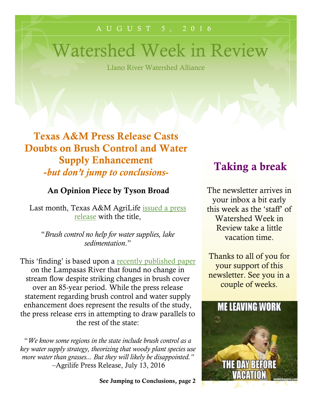#### A U G U S T 5 , 2 0 1 6

# Watershed Week in Review

Llano River Watershed Alliance

**Texas A&M Press Release Casts Doubts on Brush Control and Water Supply Enhancement -***but don't jump to conclusions-*

#### **An Opinion Piece by Tyson Broad**

Last month, Texas A&M AgriLife [issued](http://today.agrilife.org/2016/07/13/brush-control-no-help-for-water-supplies-lake-sedimentation/) a press [release](http://today.agrilife.org/2016/07/13/brush-control-no-help-for-water-supplies-lake-sedimentation/) with the title,

"*Brush control no help for water supplies, lake sedimentation*."

This 'finding' is based upon a recently [published](http://bit.ly/29sopwP) paper on the Lampasas River that found no change in stream flow despite striking changes in brush cover over an 85-year period. While the press release statement regarding brush control and water supply enhancement does represent the results of the study, the press release errs in attempting to draw parallels to the rest of the state:

"*We know some regions in the state include brush control as a key water supply strategy, theorizing that woody plant species use more water than grasses... But they will likely be disappointed."* –Agrilife Press Release, July 13, 2016

**See Jumping to Conclusions, page 2**

# **Taking a break**

The newsletter arrives in your inbox a bit early this week as the 'staff' of Watershed Week in Review take a little vacation time.

Thanks to all of you for your support of this newsletter. See you in a couple of weeks.

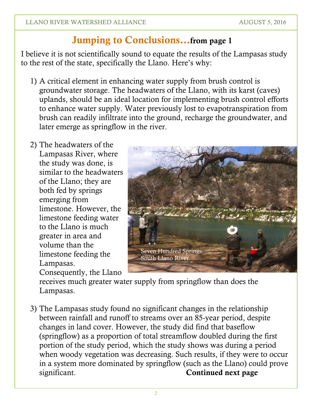# **Jumping to Conclusions…from page 1**

I believe it is not scientifically sound to equate the results of the Lampasas study to the rest of the state, specifically the Llano. Here's why:

- 1) A critical element in enhancing water supply from brush control is groundwater storage. The headwaters of the Llano, with its karst (caves) uplands, should be an ideal location for implementing brush control efforts to enhance water supply. Water previously lost to evapotranspiration from brush can readily infiltrate into the ground, recharge the groundwater, and later emerge as springflow in the river.
- 2) The headwaters of the Lampasas River, where the study was done, is similar to the headwaters of the Llano; they are both fed by springs emerging from limestone. However, the limestone feeding water to the Llano is much greater in area and volume than the limestone feeding the Lampasas. Consequently, the Llano



receives much greater water supply from springflow than does the Lampasas.

3) The Lampasas study found no significant changes in the relationship between rainfall and runoff to streams over an 85-year period, despite changes in land cover. However, the study did find that baseflow (springflow) as a proportion of total streamflow doubled during the first portion of the study period, which the study shows was during a period when woody vegetation was decreasing. Such results, if they were to occur in a system more dominated by springflow (such as the Llano) could prove significant. **Continued next page**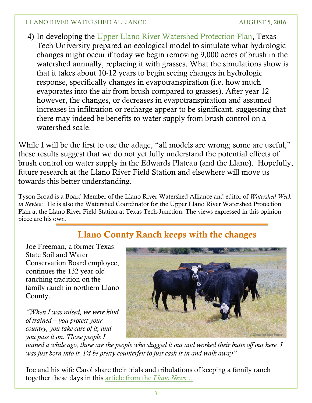#### LLANO RIVER WATERSHED ALLIANCE AUGUST 5, 2016

4) In developing the Upper Llano River [Watershed](http://media.wix.com/ugd/f8330c_112130a98fc64904bad21e6c02d0d0cf.pdf) Protection Plan, Texas Tech University prepared an ecological model to simulate what hydrologic changes might occur if today we begin removing 9,000 acres of brush in the watershed annually, replacing it with grasses. What the simulations show is that it takes about 10-12 years to begin seeing changes in hydrologic response, specifically changes in evapotranspiration (i.e. how much evaporates into the air from brush compared to grasses). After year 12 however, the changes, or decreases in evapotranspiration and assumed increases in infiltration or recharge appear to be significant, suggesting that there may indeed be benefits to water supply from brush control on a watershed scale.

While I will be the first to use the adage, "all models are wrong; some are useful," these results suggest that we do not yet fully understand the potential effects of brush control on water supply in the Edwards Plateau (and the Llano). Hopefully, future research at the Llano River Field Station and elsewhere will move us towards this better understanding.

Tyson Broad is a Board Member of the Llano River Watershed Alliance and editor of *Watershed Week in Review.* He is also the Watershed Coordinator for the Upper Llano River Watershed Protection Plan at the Llano River Field Station at Texas Tech-Junction. The views expressed in this opinion piece are his own.

## **Llano County Ranch keeps with the changes**

Joe Freeman, a former Texas State Soil and Water Conservation Board employee, continues the 132 year-old ranching tradition on the family ranch in northern Llano County.

*"When I was raised, we were kind of trained – you protect your country, you take care of it, and you pass it on. Those people I*



named a while ago, those are the people who slugged it out and worked their butts off out here. I *was just born into it. I'd be pretty counterfeit to just cash it in and walk away"*

Joe and his wife Carol share their trials and tribulations of keeping a family ranch together these days in this [article](http://www.llanonews.com/3939-hill-country-agriculture-carrying-on-the-tradition-at-the-freeman-ranch) from the *Llano News*…